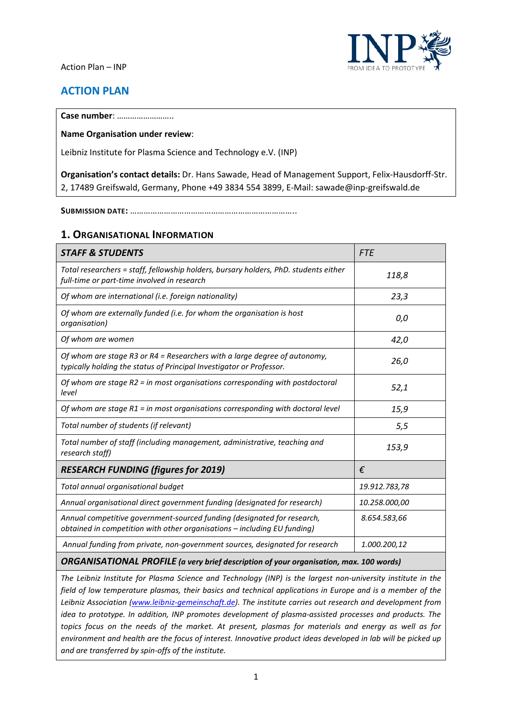

# **ACTION PLAN**

**Case number**: ……………………..

### **Name Organisation under review**:

Leibniz Institute for Plasma Science and Technology e.V. (INP)

**Organisation's contact details:** Dr. Hans Sawade, Head of Management Support, Felix-Hausdorff-Str. 2, 17489 Greifswald, Germany, Phone +49 3834 554 3899, E-Mail: sawade@inp-greifswald.de

**SUBMISSION DATE:** ………………………………………………………………..

### **1. ORGANISATIONAL INFORMATION**

| <b>STAFF &amp; STUDENTS</b>                                                                                                                         | <b>FTE</b>    |
|-----------------------------------------------------------------------------------------------------------------------------------------------------|---------------|
| Total researchers = staff, fellowship holders, bursary holders, PhD. students either<br>full-time or part-time involved in research                 | 118,8         |
| Of whom are international (i.e. foreign nationality)                                                                                                | 23,3          |
| Of whom are externally funded (i.e. for whom the organisation is host<br>organisation)                                                              | 0,0           |
| Of whom are women                                                                                                                                   | 42,0          |
| Of whom are stage R3 or R4 = Researchers with a large degree of autonomy,<br>typically holding the status of Principal Investigator or Professor.   | 26,0          |
| Of whom are stage R2 = in most organisations corresponding with postdoctoral<br>level                                                               | 52,1          |
| Of whom are stage $R1$ = in most organisations corresponding with doctoral level                                                                    | 15,9          |
| Total number of students (if relevant)                                                                                                              | 5,5           |
| Total number of staff (including management, administrative, teaching and<br>research staff)                                                        | 153,9         |
| <b>RESEARCH FUNDING (figures for 2019)</b>                                                                                                          | €             |
| Total annual organisational budget                                                                                                                  | 19.912.783,78 |
| Annual organisational direct government funding (designated for research)                                                                           | 10.258.000,00 |
| Annual competitive government-sourced funding (designated for research,<br>obtained in competition with other organisations - including EU funding) | 8.654.583,66  |
| Annual funding from private, non-government sources, designated for research                                                                        | 1.000.200,12  |
| <b>ORGANISATIONAL PROFILE</b> (a very brief description of your organisation, max. 100 words)                                                       |               |

*The Leibniz Institute for Plasma Science and Technology (INP) is the largest non-university institute in the field of low temperature plasmas, their basics and technical applications in Europe and is a member of the Leibniz Association [\(www.leibniz-gemeinschaft.de\)](http://www.leibniz-gemeinschaft.de/). The institute carries out research and development from idea to prototype. In addition, INP promotes development of plasma-assisted processes and products. The topics focus on the needs of the market. At present, plasmas for materials and energy as well as for environment and health are the focus of interest. Innovative product ideas developed in lab will be picked up and are transferred by spin-offs of the institute.*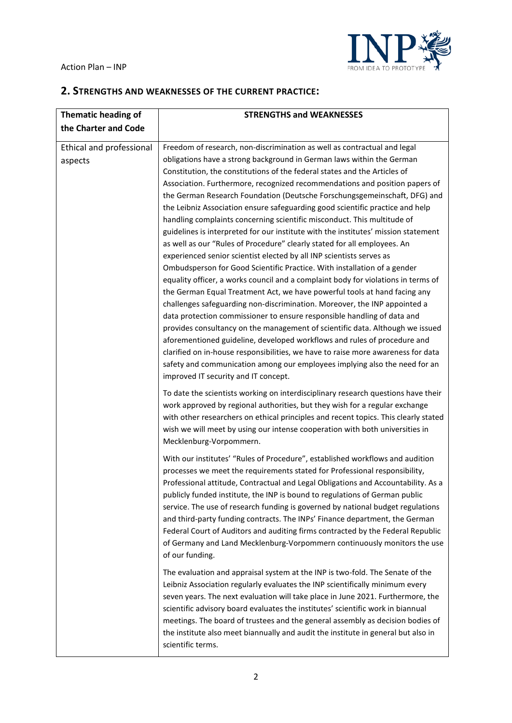

## **2. STRENGTHS AND WEAKNESSES OF THE CURRENT PRACTICE:**

| <b>Thematic heading of</b>          | <b>STRENGTHS and WEAKNESSES</b>                                                                                                                                                                                                                                                                                                                                                                                                                                                                                                                                                                                                                                                                                                                                                                                                                                                                                                                                                                                                                                                                                                                                                                                                                                                                                                                                                                                                                                                                                                                                               |
|-------------------------------------|-------------------------------------------------------------------------------------------------------------------------------------------------------------------------------------------------------------------------------------------------------------------------------------------------------------------------------------------------------------------------------------------------------------------------------------------------------------------------------------------------------------------------------------------------------------------------------------------------------------------------------------------------------------------------------------------------------------------------------------------------------------------------------------------------------------------------------------------------------------------------------------------------------------------------------------------------------------------------------------------------------------------------------------------------------------------------------------------------------------------------------------------------------------------------------------------------------------------------------------------------------------------------------------------------------------------------------------------------------------------------------------------------------------------------------------------------------------------------------------------------------------------------------------------------------------------------------|
| the Charter and Code                |                                                                                                                                                                                                                                                                                                                                                                                                                                                                                                                                                                                                                                                                                                                                                                                                                                                                                                                                                                                                                                                                                                                                                                                                                                                                                                                                                                                                                                                                                                                                                                               |
| Ethical and professional<br>aspects | Freedom of research, non-discrimination as well as contractual and legal<br>obligations have a strong background in German laws within the German<br>Constitution, the constitutions of the federal states and the Articles of<br>Association. Furthermore, recognized recommendations and position papers of<br>the German Research Foundation (Deutsche Forschungsgemeinschaft, DFG) and<br>the Leibniz Association ensure safeguarding good scientific practice and help<br>handling complaints concerning scientific misconduct. This multitude of<br>guidelines is interpreted for our institute with the institutes' mission statement<br>as well as our "Rules of Procedure" clearly stated for all employees. An<br>experienced senior scientist elected by all INP scientists serves as<br>Ombudsperson for Good Scientific Practice. With installation of a gender<br>equality officer, a works council and a complaint body for violations in terms of<br>the German Equal Treatment Act, we have powerful tools at hand facing any<br>challenges safeguarding non-discrimination. Moreover, the INP appointed a<br>data protection commissioner to ensure responsible handling of data and<br>provides consultancy on the management of scientific data. Although we issued<br>aforementioned guideline, developed workflows and rules of procedure and<br>clarified on in-house responsibilities, we have to raise more awareness for data<br>safety and communication among our employees implying also the need for an<br>improved IT security and IT concept. |
|                                     | To date the scientists working on interdisciplinary research questions have their<br>work approved by regional authorities, but they wish for a regular exchange<br>with other researchers on ethical principles and recent topics. This clearly stated<br>wish we will meet by using our intense cooperation with both universities in<br>Mecklenburg-Vorpommern.                                                                                                                                                                                                                                                                                                                                                                                                                                                                                                                                                                                                                                                                                                                                                                                                                                                                                                                                                                                                                                                                                                                                                                                                            |
|                                     | With our institutes' "Rules of Procedure", established workflows and audition<br>processes we meet the requirements stated for Professional responsibility,<br>Professional attitude, Contractual and Legal Obligations and Accountability. As a<br>publicly funded institute, the INP is bound to regulations of German public<br>service. The use of research funding is governed by national budget regulations<br>and third-party funding contracts. The INPs' Finance department, the German<br>Federal Court of Auditors and auditing firms contracted by the Federal Republic<br>of Germany and Land Mecklenburg-Vorpommern continuously monitors the use<br>of our funding.                                                                                                                                                                                                                                                                                                                                                                                                                                                                                                                                                                                                                                                                                                                                                                                                                                                                                           |
|                                     | The evaluation and appraisal system at the INP is two-fold. The Senate of the<br>Leibniz Association regularly evaluates the INP scientifically minimum every<br>seven years. The next evaluation will take place in June 2021. Furthermore, the<br>scientific advisory board evaluates the institutes' scientific work in biannual<br>meetings. The board of trustees and the general assembly as decision bodies of<br>the institute also meet biannually and audit the institute in general but also in<br>scientific terms.                                                                                                                                                                                                                                                                                                                                                                                                                                                                                                                                                                                                                                                                                                                                                                                                                                                                                                                                                                                                                                               |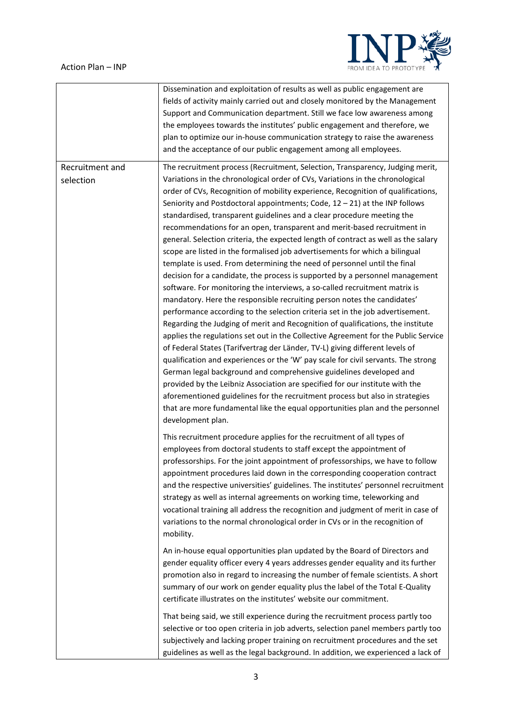

|                              | Dissemination and exploitation of results as well as public engagement are<br>fields of activity mainly carried out and closely monitored by the Management<br>Support and Communication department. Still we face low awareness among<br>the employees towards the institutes' public engagement and therefore, we<br>plan to optimize our in-house communication strategy to raise the awareness<br>and the acceptance of our public engagement among all employees.                                                                                                                                                                                                                                                                                                                                                                                                                                                                                                                                                                                                                                                                                                                                                                                                                                                                                                                                                                                                                                                                                                                                                                                                                                                                                        |
|------------------------------|---------------------------------------------------------------------------------------------------------------------------------------------------------------------------------------------------------------------------------------------------------------------------------------------------------------------------------------------------------------------------------------------------------------------------------------------------------------------------------------------------------------------------------------------------------------------------------------------------------------------------------------------------------------------------------------------------------------------------------------------------------------------------------------------------------------------------------------------------------------------------------------------------------------------------------------------------------------------------------------------------------------------------------------------------------------------------------------------------------------------------------------------------------------------------------------------------------------------------------------------------------------------------------------------------------------------------------------------------------------------------------------------------------------------------------------------------------------------------------------------------------------------------------------------------------------------------------------------------------------------------------------------------------------------------------------------------------------------------------------------------------------|
| Recruitment and<br>selection | The recruitment process (Recruitment, Selection, Transparency, Judging merit,<br>Variations in the chronological order of CVs, Variations in the chronological<br>order of CVs, Recognition of mobility experience, Recognition of qualifications,<br>Seniority and Postdoctoral appointments; Code, $12 - 21$ ) at the INP follows<br>standardised, transparent guidelines and a clear procedure meeting the<br>recommendations for an open, transparent and merit-based recruitment in<br>general. Selection criteria, the expected length of contract as well as the salary<br>scope are listed in the formalised job advertisements for which a bilingual<br>template is used. From determining the need of personnel until the final<br>decision for a candidate, the process is supported by a personnel management<br>software. For monitoring the interviews, a so-called recruitment matrix is<br>mandatory. Here the responsible recruiting person notes the candidates'<br>performance according to the selection criteria set in the job advertisement.<br>Regarding the Judging of merit and Recognition of qualifications, the institute<br>applies the regulations set out in the Collective Agreement for the Public Service<br>of Federal States (Tarifvertrag der Länder, TV-L) giving different levels of<br>qualification and experiences or the 'W' pay scale for civil servants. The strong<br>German legal background and comprehensive guidelines developed and<br>provided by the Leibniz Association are specified for our institute with the<br>aforementioned guidelines for the recruitment process but also in strategies<br>that are more fundamental like the equal opportunities plan and the personnel<br>development plan. |
|                              | This recruitment procedure applies for the recruitment of all types of<br>employees from doctoral students to staff except the appointment of<br>professorships. For the joint appointment of professorships, we have to follow<br>appointment procedures laid down in the corresponding cooperation contract<br>and the respective universities' guidelines. The institutes' personnel recruitment<br>strategy as well as internal agreements on working time, teleworking and<br>vocational training all address the recognition and judgment of merit in case of<br>variations to the normal chronological order in CVs or in the recognition of<br>mobility.                                                                                                                                                                                                                                                                                                                                                                                                                                                                                                                                                                                                                                                                                                                                                                                                                                                                                                                                                                                                                                                                                              |
|                              | An in-house equal opportunities plan updated by the Board of Directors and<br>gender equality officer every 4 years addresses gender equality and its further<br>promotion also in regard to increasing the number of female scientists. A short<br>summary of our work on gender equality plus the label of the Total E-Quality<br>certificate illustrates on the institutes' website our commitment.                                                                                                                                                                                                                                                                                                                                                                                                                                                                                                                                                                                                                                                                                                                                                                                                                                                                                                                                                                                                                                                                                                                                                                                                                                                                                                                                                        |
|                              | That being said, we still experience during the recruitment process partly too<br>selective or too open criteria in job adverts, selection panel members partly too<br>subjectively and lacking proper training on recruitment procedures and the set<br>guidelines as well as the legal background. In addition, we experienced a lack of                                                                                                                                                                                                                                                                                                                                                                                                                                                                                                                                                                                                                                                                                                                                                                                                                                                                                                                                                                                                                                                                                                                                                                                                                                                                                                                                                                                                                    |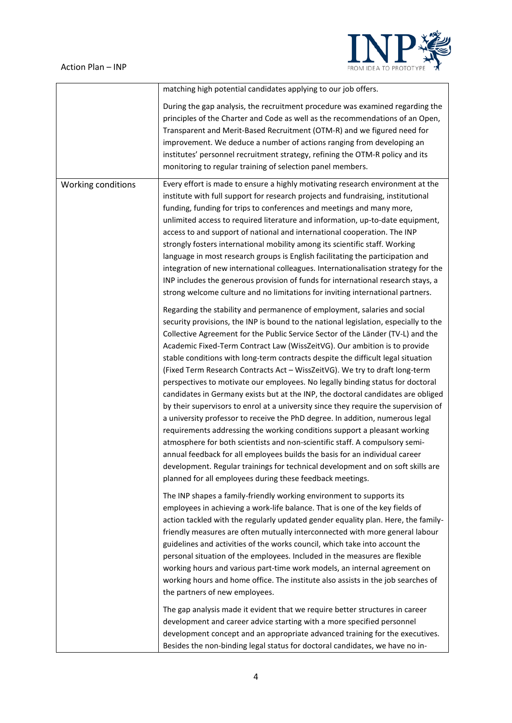

|                    | matching high potential candidates applying to our job offers.                                                                                                                                                                                                                                                                                                                                                                                                                                                                                                                                                                                                                                                                                                                                                                                                                                                                                                                                                                                                                                                                                                                                                                                |
|--------------------|-----------------------------------------------------------------------------------------------------------------------------------------------------------------------------------------------------------------------------------------------------------------------------------------------------------------------------------------------------------------------------------------------------------------------------------------------------------------------------------------------------------------------------------------------------------------------------------------------------------------------------------------------------------------------------------------------------------------------------------------------------------------------------------------------------------------------------------------------------------------------------------------------------------------------------------------------------------------------------------------------------------------------------------------------------------------------------------------------------------------------------------------------------------------------------------------------------------------------------------------------|
|                    | During the gap analysis, the recruitment procedure was examined regarding the<br>principles of the Charter and Code as well as the recommendations of an Open,<br>Transparent and Merit-Based Recruitment (OTM-R) and we figured need for<br>improvement. We deduce a number of actions ranging from developing an<br>institutes' personnel recruitment strategy, refining the OTM-R policy and its<br>monitoring to regular training of selection panel members.                                                                                                                                                                                                                                                                                                                                                                                                                                                                                                                                                                                                                                                                                                                                                                             |
| Working conditions | Every effort is made to ensure a highly motivating research environment at the                                                                                                                                                                                                                                                                                                                                                                                                                                                                                                                                                                                                                                                                                                                                                                                                                                                                                                                                                                                                                                                                                                                                                                |
|                    | institute with full support for research projects and fundraising, institutional<br>funding, funding for trips to conferences and meetings and many more,<br>unlimited access to required literature and information, up-to-date equipment,<br>access to and support of national and international cooperation. The INP<br>strongly fosters international mobility among its scientific staff. Working<br>language in most research groups is English facilitating the participation and<br>integration of new international colleagues. Internationalisation strategy for the<br>INP includes the generous provision of funds for international research stays, a<br>strong welcome culture and no limitations for inviting international partners.                                                                                                                                                                                                                                                                                                                                                                                                                                                                                          |
|                    | Regarding the stability and permanence of employment, salaries and social<br>security provisions, the INP is bound to the national legislation, especially to the<br>Collective Agreement for the Public Service Sector of the Länder (TV-L) and the<br>Academic Fixed-Term Contract Law (WissZeitVG). Our ambition is to provide<br>stable conditions with long-term contracts despite the difficult legal situation<br>(Fixed Term Research Contracts Act - WissZeitVG). We try to draft long-term<br>perspectives to motivate our employees. No legally binding status for doctoral<br>candidates in Germany exists but at the INP, the doctoral candidates are obliged<br>by their supervisors to enrol at a university since they require the supervision of<br>a university professor to receive the PhD degree. In addition, numerous legal<br>requirements addressing the working conditions support a pleasant working<br>atmosphere for both scientists and non-scientific staff. A compulsory semi-<br>annual feedback for all employees builds the basis for an individual career<br>development. Regular trainings for technical development and on soft skills are<br>planned for all employees during these feedback meetings. |
|                    | The INP shapes a family-friendly working environment to supports its<br>employees in achieving a work-life balance. That is one of the key fields of<br>action tackled with the regularly updated gender equality plan. Here, the family-<br>friendly measures are often mutually interconnected with more general labour<br>guidelines and activities of the works council, which take into account the<br>personal situation of the employees. Included in the measures are flexible<br>working hours and various part-time work models, an internal agreement on<br>working hours and home office. The institute also assists in the job searches of<br>the partners of new employees.                                                                                                                                                                                                                                                                                                                                                                                                                                                                                                                                                     |
|                    | The gap analysis made it evident that we require better structures in career<br>development and career advice starting with a more specified personnel<br>development concept and an appropriate advanced training for the executives.<br>Besides the non-binding legal status for doctoral candidates, we have no in-                                                                                                                                                                                                                                                                                                                                                                                                                                                                                                                                                                                                                                                                                                                                                                                                                                                                                                                        |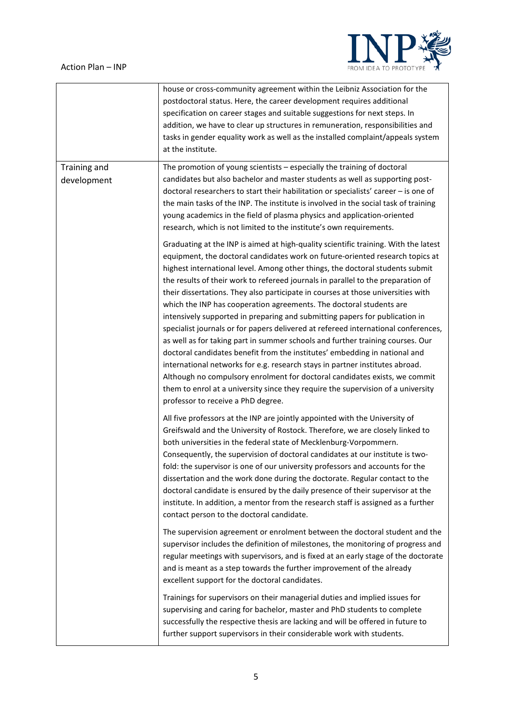

|                             | house or cross-community agreement within the Leibniz Association for the<br>postdoctoral status. Here, the career development requires additional<br>specification on career stages and suitable suggestions for next steps. In<br>addition, we have to clear up structures in remuneration, responsibilities and<br>tasks in gender equality work as well as the installed complaint/appeals system<br>at the institute.                                                                                                                                                                                                                                                                                                                                                                                                                                                                                                                                                                                                                                                                                                        |
|-----------------------------|-----------------------------------------------------------------------------------------------------------------------------------------------------------------------------------------------------------------------------------------------------------------------------------------------------------------------------------------------------------------------------------------------------------------------------------------------------------------------------------------------------------------------------------------------------------------------------------------------------------------------------------------------------------------------------------------------------------------------------------------------------------------------------------------------------------------------------------------------------------------------------------------------------------------------------------------------------------------------------------------------------------------------------------------------------------------------------------------------------------------------------------|
| Training and<br>development | The promotion of young scientists - especially the training of doctoral<br>candidates but also bachelor and master students as well as supporting post-<br>doctoral researchers to start their habilitation or specialists' career - is one of<br>the main tasks of the INP. The institute is involved in the social task of training<br>young academics in the field of plasma physics and application-oriented<br>research, which is not limited to the institute's own requirements.                                                                                                                                                                                                                                                                                                                                                                                                                                                                                                                                                                                                                                           |
|                             | Graduating at the INP is aimed at high-quality scientific training. With the latest<br>equipment, the doctoral candidates work on future-oriented research topics at<br>highest international level. Among other things, the doctoral students submit<br>the results of their work to refereed journals in parallel to the preparation of<br>their dissertations. They also participate in courses at those universities with<br>which the INP has cooperation agreements. The doctoral students are<br>intensively supported in preparing and submitting papers for publication in<br>specialist journals or for papers delivered at refereed international conferences,<br>as well as for taking part in summer schools and further training courses. Our<br>doctoral candidates benefit from the institutes' embedding in national and<br>international networks for e.g. research stays in partner institutes abroad.<br>Although no compulsory enrolment for doctoral candidates exists, we commit<br>them to enrol at a university since they require the supervision of a university<br>professor to receive a PhD degree. |
|                             | All five professors at the INP are jointly appointed with the University of<br>Greifswald and the University of Rostock. Therefore, we are closely linked to<br>both universities in the federal state of Mecklenburg-Vorpommern.<br>Consequently, the supervision of doctoral candidates at our institute is two-<br>fold: the supervisor is one of our university professors and accounts for the<br>dissertation and the work done during the doctorate. Regular contact to the<br>doctoral candidate is ensured by the daily presence of their supervisor at the<br>institute. In addition, a mentor from the research staff is assigned as a further<br>contact person to the doctoral candidate.                                                                                                                                                                                                                                                                                                                                                                                                                            |
|                             | The supervision agreement or enrolment between the doctoral student and the<br>supervisor includes the definition of milestones, the monitoring of progress and<br>regular meetings with supervisors, and is fixed at an early stage of the doctorate<br>and is meant as a step towards the further improvement of the already<br>excellent support for the doctoral candidates.                                                                                                                                                                                                                                                                                                                                                                                                                                                                                                                                                                                                                                                                                                                                                  |
|                             | Trainings for supervisors on their managerial duties and implied issues for<br>supervising and caring for bachelor, master and PhD students to complete<br>successfully the respective thesis are lacking and will be offered in future to<br>further support supervisors in their considerable work with students.                                                                                                                                                                                                                                                                                                                                                                                                                                                                                                                                                                                                                                                                                                                                                                                                               |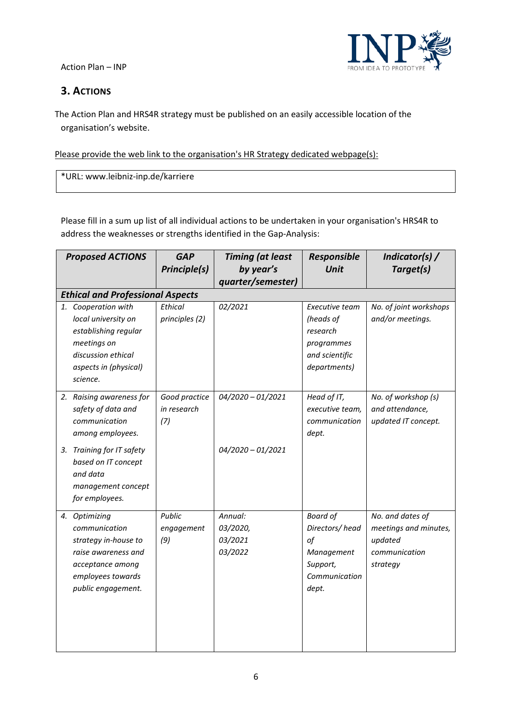

## **3. ACTIONS**

The Action Plan and HRS4R strategy must be published on an easily accessible location of the organisation's website.

Please provide the web link to the organisation's HR Strategy dedicated webpage(s):

\*URL: www.leibniz-inp.de/karriere

Please fill in a sum up list of all individual actions to be undertaken in your organisation's HRS4R to address the weaknesses or strengths identified in the Gap-Analysis:

| <b>Proposed ACTIONS</b>                                                                                                                                                                     | <b>GAP</b>                          | <b>Timing (at least</b>                   | Responsible                                                                                 | Indicator(s) /                                                                    |
|---------------------------------------------------------------------------------------------------------------------------------------------------------------------------------------------|-------------------------------------|-------------------------------------------|---------------------------------------------------------------------------------------------|-----------------------------------------------------------------------------------|
|                                                                                                                                                                                             | Principle(s)                        | by year's                                 | <b>Unit</b>                                                                                 | Target(s)                                                                         |
|                                                                                                                                                                                             |                                     | quarter/semester)                         |                                                                                             |                                                                                   |
| <b>Ethical and Professional Aspects</b>                                                                                                                                                     |                                     |                                           |                                                                                             |                                                                                   |
| 1. Cooperation with<br>local university on<br>establishing regular<br>meetings on<br>discussion ethical<br>aspects in (physical)<br>science.                                                | Ethical<br>principles (2)           | 02/2021                                   | Executive team<br>(heads of<br>research<br>programmes<br>and scientific<br>departments)     | No. of joint workshops<br>and/or meetings.                                        |
| 2. Raising awareness for<br>safety of data and<br>communication<br>among employees.<br>3. Training for IT safety<br>based on IT concept<br>and data<br>management concept<br>for employees. | Good practice<br>in research<br>(7) | 04/2020 - 01/2021<br>04/2020 - 01/2021    | Head of IT,<br>executive team,<br>communication<br>dept.                                    | No. of workshop (s)<br>and attendance,<br>updated IT concept.                     |
| 4. Optimizing<br>communication<br>strategy in-house to<br>raise awareness and<br>acceptance among<br>employees towards<br>public engagement.                                                | Public<br>engagement<br>(9)         | Annual:<br>03/2020,<br>03/2021<br>03/2022 | <b>Board of</b><br>Directors/head<br>of<br>Management<br>Support,<br>Communication<br>dept. | No. and dates of<br>meetings and minutes,<br>updated<br>communication<br>strategy |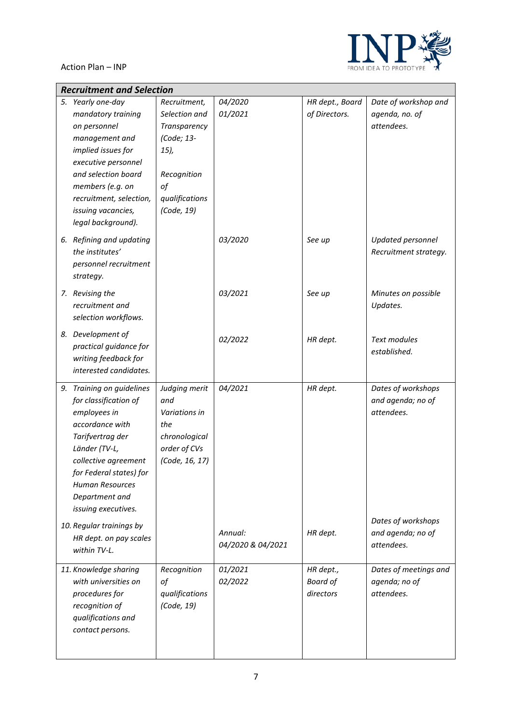

| <b>Recruitment and Selection</b> |                |                   |                 |                       |
|----------------------------------|----------------|-------------------|-----------------|-----------------------|
| 5. Yearly one-day                | Recruitment,   | 04/2020           | HR dept., Board | Date of workshop and  |
| mandatory training               | Selection and  | 01/2021           | of Directors.   | agenda, no. of        |
| on personnel                     | Transparency   |                   |                 | attendees.            |
| management and                   | (Code; 13-     |                   |                 |                       |
| implied issues for               | 15),           |                   |                 |                       |
| executive personnel              |                |                   |                 |                       |
| and selection board              | Recognition    |                   |                 |                       |
| members (e.g. on                 | of             |                   |                 |                       |
| recruitment, selection,          | qualifications |                   |                 |                       |
| issuing vacancies,               | (Code, 19)     |                   |                 |                       |
| legal background).               |                |                   |                 |                       |
|                                  |                |                   |                 |                       |
| 6. Refining and updating         |                | 03/2020           | See up          | Updated personnel     |
| the institutes'                  |                |                   |                 | Recruitment strategy. |
| personnel recruitment            |                |                   |                 |                       |
| strategy.                        |                |                   |                 |                       |
| 7. Revising the                  |                | 03/2021           | See up          | Minutes on possible   |
| recruitment and                  |                |                   |                 | Updates.              |
| selection workflows.             |                |                   |                 |                       |
|                                  |                |                   |                 |                       |
| 8. Development of                |                | 02/2022           | HR dept.        | Text modules          |
| practical guidance for           |                |                   |                 | established.          |
| writing feedback for             |                |                   |                 |                       |
| interested candidates.           |                |                   |                 |                       |
| 9. Training on guidelines        | Judging merit  | 04/2021           | HR dept.        | Dates of workshops    |
| for classification of            | and            |                   |                 | and agenda; no of     |
| employees in                     | Variations in  |                   |                 | attendees.            |
| accordance with                  | the            |                   |                 |                       |
| Tarifvertrag der                 | chronological  |                   |                 |                       |
| Länder (TV-L,                    | order of CVs   |                   |                 |                       |
| collective agreement             | (Code, 16, 17) |                   |                 |                       |
| for Federal states) for          |                |                   |                 |                       |
| <b>Human Resources</b>           |                |                   |                 |                       |
| Department and                   |                |                   |                 |                       |
| issuing executives.              |                |                   |                 |                       |
|                                  |                |                   |                 | Dates of workshops    |
| 10. Regular trainings by         |                | Annual:           | HR dept.        | and agenda; no of     |
| HR dept. on pay scales           |                | 04/2020 & 04/2021 |                 | attendees.            |
| within TV-L.                     |                |                   |                 |                       |
| 11. Knowledge sharing            | Recognition    | 01/2021           | HR dept.,       | Dates of meetings and |
| with universities on             | of             | 02/2022           | <b>Board of</b> | agenda; no of         |
| procedures for                   | qualifications |                   | directors       | attendees.            |
| recognition of                   | (Code, 19)     |                   |                 |                       |
| qualifications and               |                |                   |                 |                       |
| contact persons.                 |                |                   |                 |                       |
|                                  |                |                   |                 |                       |
|                                  |                |                   |                 |                       |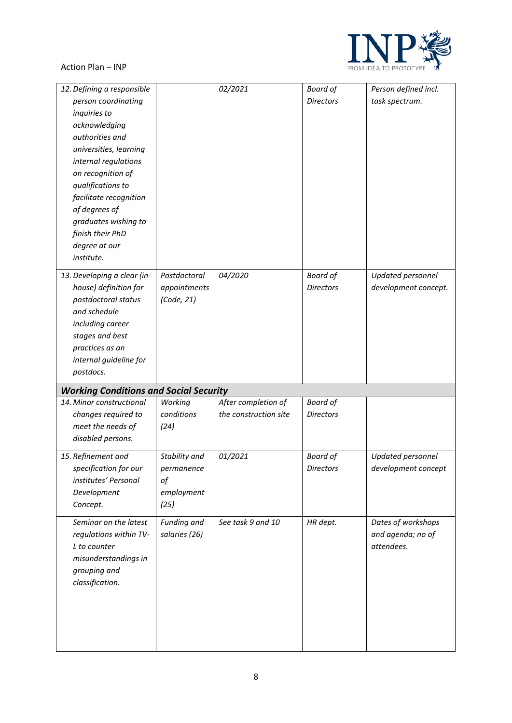

| 12. Defining a responsible                    |               | 02/2021               | <b>Board of</b>  | Person defined incl.     |
|-----------------------------------------------|---------------|-----------------------|------------------|--------------------------|
| person coordinating                           |               |                       | <b>Directors</b> | task spectrum.           |
| inquiries to                                  |               |                       |                  |                          |
| acknowledging                                 |               |                       |                  |                          |
| authorities and                               |               |                       |                  |                          |
| universities, learning                        |               |                       |                  |                          |
| internal regulations                          |               |                       |                  |                          |
|                                               |               |                       |                  |                          |
| on recognition of                             |               |                       |                  |                          |
| qualifications to                             |               |                       |                  |                          |
| facilitate recognition                        |               |                       |                  |                          |
| of degrees of                                 |               |                       |                  |                          |
| graduates wishing to                          |               |                       |                  |                          |
| finish their PhD                              |               |                       |                  |                          |
| degree at our                                 |               |                       |                  |                          |
| institute.                                    |               |                       |                  |                          |
|                                               |               |                       |                  |                          |
| 13. Developing a clear (in-                   | Postdoctoral  | 04/2020               | <b>Board of</b>  | Updated personnel        |
| house) definition for                         | appointments  |                       | <b>Directors</b> | development concept.     |
| postdoctoral status                           | (Code, 21)    |                       |                  |                          |
| and schedule                                  |               |                       |                  |                          |
| including career                              |               |                       |                  |                          |
| stages and best                               |               |                       |                  |                          |
| practices as an                               |               |                       |                  |                          |
| internal guideline for                        |               |                       |                  |                          |
| postdocs.                                     |               |                       |                  |                          |
|                                               |               |                       |                  |                          |
| <b>Working Conditions and Social Security</b> |               |                       |                  |                          |
| 14. Minor constructional                      | Working       | After completion of   | <b>Board of</b>  |                          |
| changes required to                           | conditions    | the construction site | <b>Directors</b> |                          |
| meet the needs of                             | (24)          |                       |                  |                          |
| disabled persons.                             |               |                       |                  |                          |
| 15. Refinement and                            |               | 01/2021               |                  |                          |
|                                               | Stability and |                       | <b>Board of</b>  | <b>Updated personnel</b> |
| specification for our                         | permanence    |                       | <b>Directors</b> | development concept      |
| institutes' Personal                          | of            |                       |                  |                          |
| Development                                   | employment    |                       |                  |                          |
| Concept.                                      | (25)          |                       |                  |                          |
|                                               |               |                       |                  |                          |
|                                               |               |                       |                  |                          |
| Seminar on the latest                         | Funding and   | See task 9 and 10     | HR dept.         | Dates of workshops       |
| regulations within TV-                        | salaries (26) |                       |                  | and agenda; no of        |
| L to counter                                  |               |                       |                  | attendees.               |
| misunderstandings in                          |               |                       |                  |                          |
| grouping and                                  |               |                       |                  |                          |
| classification.                               |               |                       |                  |                          |
|                                               |               |                       |                  |                          |
|                                               |               |                       |                  |                          |
|                                               |               |                       |                  |                          |
|                                               |               |                       |                  |                          |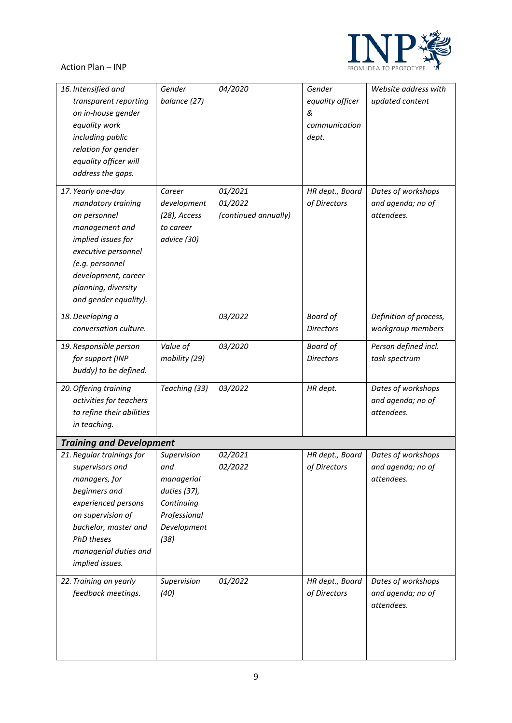

| 16. Intensified and             | Gender        | 04/2020              | Gender           | Website address with   |
|---------------------------------|---------------|----------------------|------------------|------------------------|
| transparent reporting           | balance (27)  |                      | equality officer | updated content        |
| on in-house gender              |               |                      | &                |                        |
|                                 |               |                      |                  |                        |
| equality work                   |               |                      | communication    |                        |
| including public                |               |                      | dept.            |                        |
| relation for gender             |               |                      |                  |                        |
| equality officer will           |               |                      |                  |                        |
| address the gaps.               |               |                      |                  |                        |
| 17. Yearly one-day              | Career        | 01/2021              | HR dept., Board  | Dates of workshops     |
| mandatory training              | development   | 01/2022              | of Directors     | and agenda; no of      |
| on personnel                    | (28), Access  | (continued annually) |                  | attendees.             |
| management and                  | to career     |                      |                  |                        |
| implied issues for              | advice (30)   |                      |                  |                        |
| executive personnel             |               |                      |                  |                        |
| (e.g. personnel                 |               |                      |                  |                        |
| development, career             |               |                      |                  |                        |
| planning, diversity             |               |                      |                  |                        |
| and gender equality).           |               |                      |                  |                        |
| 18. Developing a                |               | 03/2022              | <b>Board of</b>  | Definition of process, |
| conversation culture.           |               |                      | <b>Directors</b> | workgroup members      |
|                                 |               |                      |                  |                        |
| 19. Responsible person          | Value of      | 03/2020              | <b>Board of</b>  | Person defined incl.   |
| for support (INP                | mobility (29) |                      | <b>Directors</b> | task spectrum          |
| buddy) to be defined.           |               |                      |                  |                        |
| 20. Offering training           | Teaching (33) | 03/2022              | HR dept.         | Dates of workshops     |
| activities for teachers         |               |                      |                  | and agenda; no of      |
| to refine their abilities       |               |                      |                  | attendees.             |
| in teaching.                    |               |                      |                  |                        |
|                                 |               |                      |                  |                        |
| <b>Training and Development</b> |               |                      |                  |                        |
| 21. Regular trainings for       | Supervision   | 02/2021              | HR dept., Board  | Dates of workshops     |
| supervisors and                 | and           | 02/2022              | of Directors     | and agenda; no of      |
| managers, for                   | managerial    |                      |                  | attendees.             |
| beginners and                   | duties (37),  |                      |                  |                        |
| experienced persons             | Continuing    |                      |                  |                        |
| on supervision of               | Professional  |                      |                  |                        |
| bachelor, master and            | Development   |                      |                  |                        |
| PhD theses                      | (38)          |                      |                  |                        |
| managerial duties and           |               |                      |                  |                        |
| implied issues.                 |               |                      |                  |                        |
| 22. Training on yearly          | Supervision   | 01/2022              | HR dept., Board  | Dates of workshops     |
| feedback meetings.              | (40)          |                      | of Directors     | and agenda; no of      |
|                                 |               |                      |                  | attendees.             |
|                                 |               |                      |                  |                        |
|                                 |               |                      |                  |                        |
|                                 |               |                      |                  |                        |
|                                 |               |                      |                  |                        |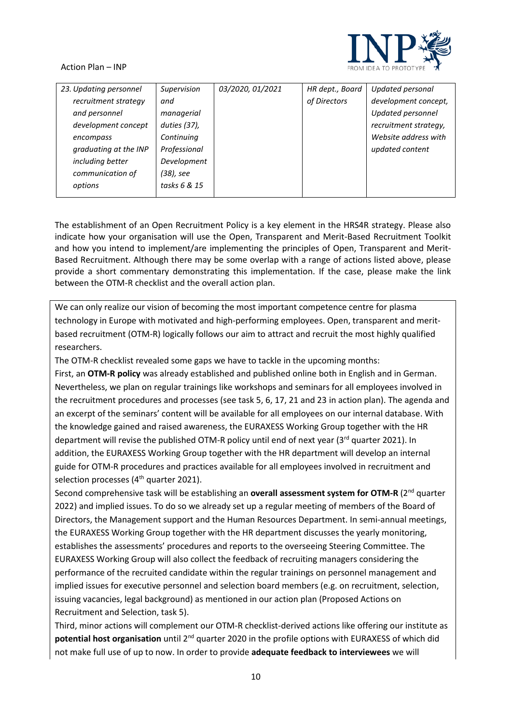

| 23. Updating personnel | Supervision  | 03/2020, 01/2021 | HR dept., Board | Updated personal      |
|------------------------|--------------|------------------|-----------------|-----------------------|
| recruitment strategy   | and          |                  | of Directors    | development concept,  |
| and personnel          | managerial   |                  |                 | Updated personnel     |
| development concept    | duties (37), |                  |                 | recruitment strategy, |
| encompass              | Continuing   |                  |                 | Website address with  |
| graduating at the INP  | Professional |                  |                 | updated content       |
| including better       | Development  |                  |                 |                       |
| communication of       | (38), see    |                  |                 |                       |
| options                | tasks 6 & 15 |                  |                 |                       |
|                        |              |                  |                 |                       |

The establishment of an Open Recruitment Policy is a key element in the HRS4R strategy. Please also indicate how your organisation will use the Open, Transparent and Merit-Based Recruitment Toolkit and how you intend to implement/are implementing the principles of Open, Transparent and Merit-Based Recruitment. Although there may be some overlap with a range of actions listed above, please provide a short commentary demonstrating this implementation. If the case, please make the link between the OTM-R checklist and the overall action plan.

We can only realize our vision of becoming the most important competence centre for plasma technology in Europe with motivated and high-performing employees. Open, transparent and meritbased recruitment (OTM-R) logically follows our aim to attract and recruit the most highly qualified researchers.

The OTM-R checklist revealed some gaps we have to tackle in the upcoming months:

First, an **OTM-R policy** was already established and published online both in English and in German. Nevertheless, we plan on regular trainings like workshops and seminars for all employees involved in the recruitment procedures and processes (see task 5, 6, 17, 21 and 23 in action plan). The agenda and an excerpt of the seminars' content will be available for all employees on our internal database. With the knowledge gained and raised awareness, the EURAXESS Working Group together with the HR department will revise the published OTM-R policy until end of next year (3rd quarter 2021). In addition, the EURAXESS Working Group together with the HR department will develop an internal guide for OTM-R procedures and practices available for all employees involved in recruitment and selection processes  $(4<sup>th</sup>$  quarter 2021).

Second comprehensive task will be establishing an **overall assessment system for OTM-R** (2nd quarter 2022) and implied issues. To do so we already set up a regular meeting of members of the Board of Directors, the Management support and the Human Resources Department. In semi-annual meetings, the EURAXESS Working Group together with the HR department discusses the yearly monitoring, establishes the assessments' procedures and reports to the overseeing Steering Committee. The EURAXESS Working Group will also collect the feedback of recruiting managers considering the performance of the recruited candidate within the regular trainings on personnel management and implied issues for executive personnel and selection board members (e.g. on recruitment, selection, issuing vacancies, legal background) as mentioned in our action plan (Proposed Actions on Recruitment and Selection, task 5).

Third, minor actions will complement our OTM-R checklist-derived actions like offering our institute as potential host organisation until 2<sup>nd</sup> quarter 2020 in the profile options with EURAXESS of which did not make full use of up to now. In order to provide **adequate feedback to interviewees** we will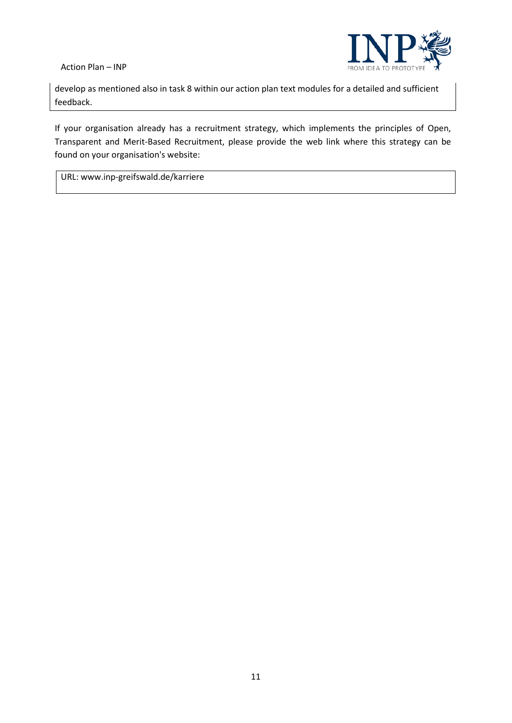

develop as mentioned also in task 8 within our action plan text modules for a detailed and sufficient feedback.

If your organisation already has a recruitment strategy, which implements the principles of Open, Transparent and Merit-Based Recruitment, please provide the web link where this strategy can be found on your organisation's website:

URL: www.inp-greifswald.de/karriere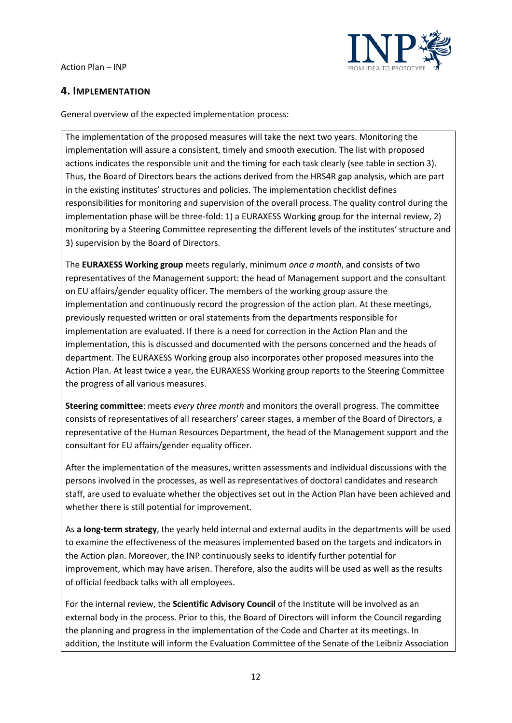

## **4. IMPLEMENTATION**

General overview of the expected implementation process:

The implementation of the proposed measures will take the next two years. Monitoring the implementation will assure a consistent, timely and smooth execution. The list with proposed actions indicates the responsible unit and the timing for each task clearly (see table in section 3). Thus, the Board of Directors bears the actions derived from the HRS4R gap analysis, which are part in the existing institutes' structures and policies. The implementation checklist defines responsibilities for monitoring and supervision of the overall process. The quality control during the implementation phase will be three-fold: 1) a EURAXESS Working group for the internal review, 2) monitoring by a Steering Committee representing the different levels of the institutes' structure and 3) supervision by the Board of Directors.

The **EURAXESS Working group** meets regularly, minimum *once a month*, and consists of two representatives of the Management support: the head of Management support and the consultant on EU affairs/gender equality officer. The members of the working group assure the implementation and continuously record the progression of the action plan. At these meetings, previously requested written or oral statements from the departments responsible for implementation are evaluated. If there is a need for correction in the Action Plan and the implementation, this is discussed and documented with the persons concerned and the heads of department. The EURAXESS Working group also incorporates other proposed measures into the Action Plan. At least twice a year, the EURAXESS Working group reports to the Steering Committee the progress of all various measures.

**Steering committee**: meets *every three month* and monitors the overall progress. The committee consists of representatives of all researchers' career stages, a member of the Board of Directors, a representative of the Human Resources Department, the head of the Management support and the consultant for EU affairs/gender equality officer.

After the implementation of the measures, written assessments and individual discussions with the persons involved in the processes, as well as representatives of doctoral candidates and research staff, are used to evaluate whether the objectives set out in the Action Plan have been achieved and whether there is still potential for improvement.

As **a long-term strategy**, the yearly held internal and external audits in the departments will be used to examine the effectiveness of the measures implemented based on the targets and indicators in the Action plan. Moreover, the INP continuously seeks to identify further potential for improvement, which may have arisen. Therefore, also the audits will be used as well as the results of official feedback talks with all employees.

For the internal review, the **Scientific Advisory Council** of the Institute will be involved as an external body in the process. Prior to this, the Board of Directors will inform the Council regarding the planning and progress in the implementation of the Code and Charter at its meetings. In addition, the Institute will inform the Evaluation Committee of the Senate of the Leibniz Association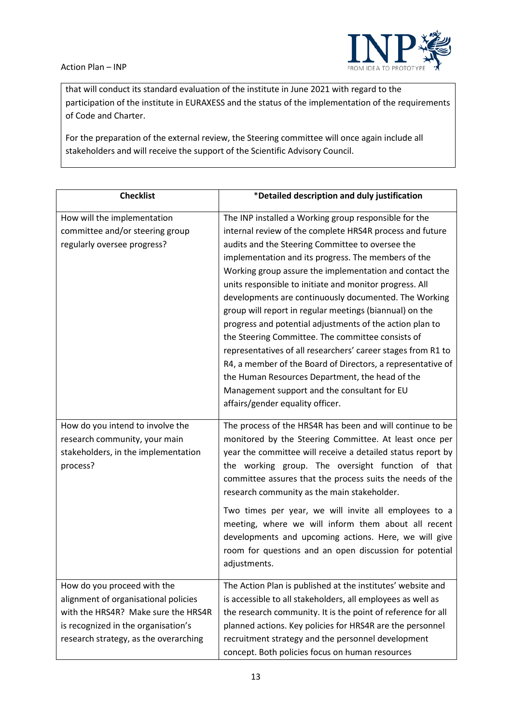

that will conduct its standard evaluation of the institute in June 2021 with regard to the participation of the institute in EURAXESS and the status of the implementation of the requirements of Code and Charter.

For the preparation of the external review, the Steering committee will once again include all stakeholders and will receive the support of the Scientific Advisory Council.

| <b>Checklist</b>                                                                                                                                                                           | *Detailed description and duly justification                                                                                                                                                                                                                                                                                                                                                                                                                                                                                                                                                                                                                                                                                                                                                                                                                  |
|--------------------------------------------------------------------------------------------------------------------------------------------------------------------------------------------|---------------------------------------------------------------------------------------------------------------------------------------------------------------------------------------------------------------------------------------------------------------------------------------------------------------------------------------------------------------------------------------------------------------------------------------------------------------------------------------------------------------------------------------------------------------------------------------------------------------------------------------------------------------------------------------------------------------------------------------------------------------------------------------------------------------------------------------------------------------|
| How will the implementation<br>committee and/or steering group<br>regularly oversee progress?                                                                                              | The INP installed a Working group responsible for the<br>internal review of the complete HRS4R process and future<br>audits and the Steering Committee to oversee the<br>implementation and its progress. The members of the<br>Working group assure the implementation and contact the<br>units responsible to initiate and monitor progress. All<br>developments are continuously documented. The Working<br>group will report in regular meetings (biannual) on the<br>progress and potential adjustments of the action plan to<br>the Steering Committee. The committee consists of<br>representatives of all researchers' career stages from R1 to<br>R4, a member of the Board of Directors, a representative of<br>the Human Resources Department, the head of the<br>Management support and the consultant for EU<br>affairs/gender equality officer. |
| How do you intend to involve the<br>research community, your main<br>stakeholders, in the implementation<br>process?                                                                       | The process of the HRS4R has been and will continue to be<br>monitored by the Steering Committee. At least once per<br>year the committee will receive a detailed status report by<br>the working group. The oversight function of that<br>committee assures that the process suits the needs of the<br>research community as the main stakeholder.<br>Two times per year, we will invite all employees to a<br>meeting, where we will inform them about all recent<br>developments and upcoming actions. Here, we will give<br>room for questions and an open discussion for potential<br>adjustments.                                                                                                                                                                                                                                                       |
| How do you proceed with the<br>alignment of organisational policies<br>with the HRS4R? Make sure the HRS4R<br>is recognized in the organisation's<br>research strategy, as the overarching | The Action Plan is published at the institutes' website and<br>is accessible to all stakeholders, all employees as well as<br>the research community. It is the point of reference for all<br>planned actions. Key policies for HRS4R are the personnel<br>recruitment strategy and the personnel development<br>concept. Both policies focus on human resources                                                                                                                                                                                                                                                                                                                                                                                                                                                                                              |